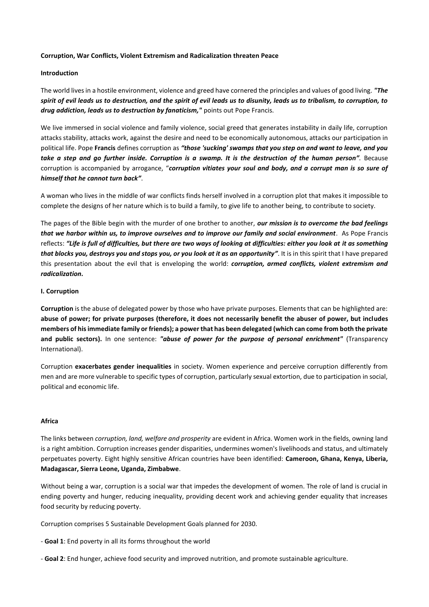### **Corruption, War Conflicts, Violent Extremism and Radicalization threaten Peace**

### **Introduction**

The world lives in a hostile environment, violence and greed have cornered the principles and values of good living. *"The spirit of evil leads us to destruction, and the spirit of evil leads us to disunity, leads us to tribalism, to corruption, to drug addiction, leads us to destruction by fanaticism,"* points out Pope Francis.

We live immersed in social violence and family violence, social greed that generates instability in daily life, corruption attacks stability, attacks work, against the desire and need to be economically autonomous, attacks our participation in political life. Pope **Francis** defines corruption as *"those 'sucking' swamps that you step on and want to leave, and you take a step and go further inside. Corruption is a swamp. It is the destruction of the human person".* Because corruption is accompanied by arrogance, "*corruption vitiates your soul and body, and a corrupt man is so sure of himself that he cannot turn back"*.

A woman who lives in the middle of war conflicts finds herself involved in a corruption plot that makes it impossible to complete the designs of her nature which is to build a family, to give life to another being, to contribute to society.

The pages of the Bible begin with the murder of one brother to another, *our mission is to overcome the bad feelings that we harbor within us, to improve ourselves and to improve our family and social environment*. As Pope Francis reflects: *"Life is full of difficulties, but there are two ways of looking at difficulties: either you look at it as something that blocks you, destroys you and stops you, or you look at it as an opportunity"*. It is in this spirit that I have prepared this presentation about the evil that is enveloping the world: *corruption, armed conflicts, violent extremism and radicalization.*

## **I. Corruption**

**Corruption** is the abuse of delegated power by those who have private purposes. Elements that can be highlighted are: **abuse of power; for private purposes (therefore, it does not necessarily benefit the abuser of power, but includes members of his immediate family or friends); a power that has been delegated (which can come from both the private and public sectors).** In one sentence: *"abuse of power for the purpose of personal enrichment"* (Transparency International).

Corruption **exacerbates gender inequalities** in society. Women experience and perceive corruption differently from men and are more vulnerable to specific types of corruption, particularly sexual extortion, due to participation in social, political and economic life.

## **Africa**

The links between *corruption, land, welfare and prosperity* are evident in Africa. Women work in the fields, owning land is a right ambition. Corruption increases gender disparities, undermines women's livelihoods and status, and ultimately perpetuates poverty. Eight highly sensitive African countries have been identified: **Cameroon, Ghana, Kenya, Liberia, Madagascar, Sierra Leone, Uganda, Zimbabwe**.

Without being a war, corruption is a social war that impedes the development of women. The role of land is crucial in ending poverty and hunger, reducing inequality, providing decent work and achieving gender equality that increases food security by reducing poverty.

Corruption comprises 5 Sustainable Development Goals planned for 2030.

- **Goal 1**: End poverty in all its forms throughout the world

- **Goal 2**: End hunger, achieve food security and improved nutrition, and promote sustainable agriculture.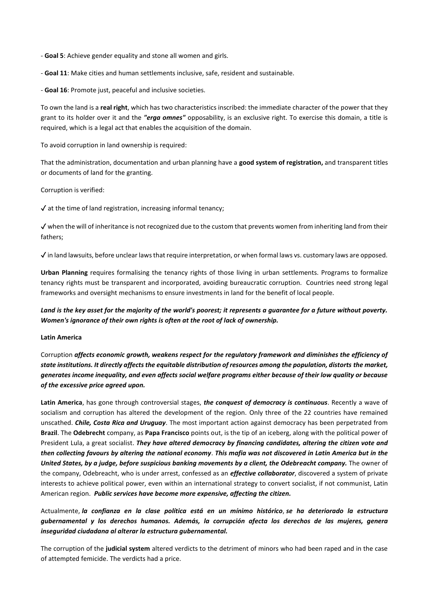- **Goal 5**: Achieve gender equality and stone all women and girls.

- **Goal 11**: Make cities and human settlements inclusive, safe, resident and sustainable.

- **Goal 16**: Promote just, peaceful and inclusive societies.

To own the land is a **real right**, which has two characteristics inscribed: the immediate character of the power that they grant to its holder over it and the *"erga omnes"* opposability, is an exclusive right. To exercise this domain, a title is required, which is a legal act that enables the acquisition of the domain.

To avoid corruption in land ownership is required:

That the administration, documentation and urban planning have a **good system of registration,** and transparent titles or documents of land for the granting.

Corruption is verified:

✓ at the time of land registration, increasing informal tenancy;

✓ when the will of inheritance is not recognized due to the custom that prevents women from inheriting land from their fathers;

 $\checkmark$  in land lawsuits, before unclear laws that require interpretation, or when formal laws vs. customary laws are opposed.

**Urban Planning** requires formalising the tenancy rights of those living in urban settlements. Programs to formalize tenancy rights must be transparent and incorporated, avoiding bureaucratic corruption. Countries need strong legal frameworks and oversight mechanisms to ensure investments in land for the benefit of local people.

*Land is the key asset for the majority of the world's poorest; it represents a guarantee for a future without poverty. Women's ignorance of their own rights is often at the root of lack of ownership.*

# **Latin America**

Corruption *affects economic growth, weakens respect for the regulatory framework and diminishes the efficiency of state institutions. It directly affects the equitable distribution of resources among the population, distorts the market, generates income inequality, and even affects social welfare programs either because of their low quality or because of the excessive price agreed upon.* 

**Latin America**, has gone through controversial stages, *the conquest of democracy is continuous*. Recently a wave of socialism and corruption has altered the development of the region. Only three of the 22 countries have remained unscathed. *Chile, Costa Rica and Uruguay*. The most important action against democracy has been perpetrated from **Brazil**. The **Odebrecht** company, as **Papa Francisco** points out, is the tip of an iceberg, along with the political power of President Lula, a great socialist. *They have altered democracy by financing candidates, altering the citizen vote and then collecting favours by altering the national economy*. *This mafia was not discovered in Latin America but in the United States, by a judge, before suspicious banking movements by a client, the Odebreacht company.* The owner of the company, Odebreacht, who is under arrest, confessed as an *effective collaborator*, discovered a system of private interests to achieve political power, even within an international strategy to convert socialist, if not communist, Latin American region. *Public services have become more expensive, affecting the citizen.*

Actualmente, *la confianza en la clase política está en un mínimo histórico*, *se ha deteriorado la estructura gubernamental y los derechos humanos. Además, la corrupción afecta los derechos de las mujeres, genera inseguridad ciudadana al alterar la estructura gubernamental.*

The corruption of the **judicial system** altered verdicts to the detriment of minors who had been raped and in the case of attempted femicide. The verdicts had a price.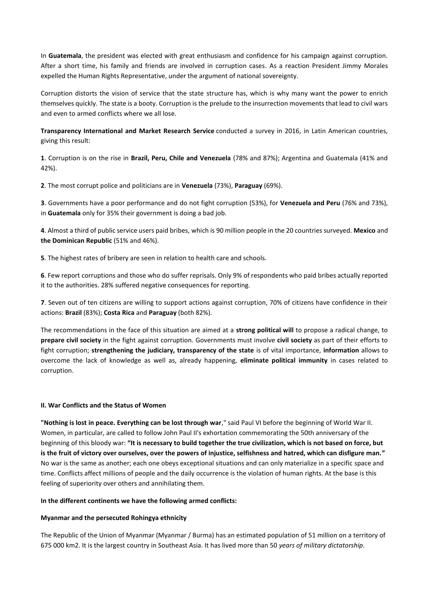In **Guatemala**, the president was elected with great enthusiasm and confidence for his campaign against corruption. After a short time, his family and friends are involved in corruption cases. As a reaction President Jimmy Morales expelled the Human Rights Representative, under the argument of national sovereignty.

Corruption distorts the vision of service that the state structure has, which is why many want the power to enrich themselves quickly. The state is a booty. Corruption is the prelude to the insurrection movements that lead to civil wars and even to armed conflicts where we all lose.

**Transparency International and Market Research Service** conducted a survey in 2016, in Latin American countries, giving this result:

**1**. Corruption is on the rise in **Brazil, Peru, Chile and Venezuela** (78% and 87%); Argentina and Guatemala (41% and 42%).

**2**. The most corrupt police and politicians are in **Venezuela** (73%), **Paraguay** (69%).

**3**. Governments have a poor performance and do not fight corruption (53%), for **Venezuela and Peru** (76% and 73%), in **Guatemala** only for 35% their government is doing a bad job.

**4**. Almost a third of public service users paid bribes, which is 90 million people in the 20 countries surveyed. **Mexico** and **the Dominican Republic** (51% and 46%).

**5**. The highest rates of bribery are seen in relation to health care and schools.

**6**. Few report corruptions and those who do suffer reprisals. Only 9% of respondents who paid bribes actually reported it to the authorities. 28% suffered negative consequences for reporting.

**7**. Seven out of ten citizens are willing to support actions against corruption, 70% of citizens have confidence in their actions: **Brazil** (83%); **Costa Rica** and **Paraguay** (both 82%).

The recommendations in the face of this situation are aimed at a **strong political will** to propose a radical change, to **prepare civil society** in the fight against corruption. Governments must involve **civil society** as part of their efforts to fight corruption; **strengthening the judiciary, transparency of the state** is of vital importance, **information** allows to overcome the lack of knowledge as well as, already happening, **eliminate political immunity** in cases related to corruption.

# **II. War Conflicts and the Status of Women**

**"Nothing is lost in peace. Everything can be lost through war**," said Paul VI before the beginning of World War II. Women, in particular, are called to follow John Paul II's exhortation commemorating the 50th anniversary of the beginning of this bloody war: **"It is necessary to build together the true civilization, which is not based on force, but is the fruit of victory over ourselves, over the powers of injustice, selfishness and hatred, which can disfigure man."** No war is the same as another; each one obeys exceptional situations and can only materialize in a specific space and time. Conflicts affect millions of people and the daily occurrence is the violation of human rights. At the base is this feeling of superiority over others and annihilating them.

# **In the different continents we have the following armed conflicts:**

# **Myanmar and the persecuted Rohingya ethnicity**

The Republic of the Union of Myanmar (Myanmar / Burma) has an estimated population of 51 million on a territory of 675 000 km2. It is the largest country in Southeast Asia. It has lived more than 50 *years of military dictatorship*.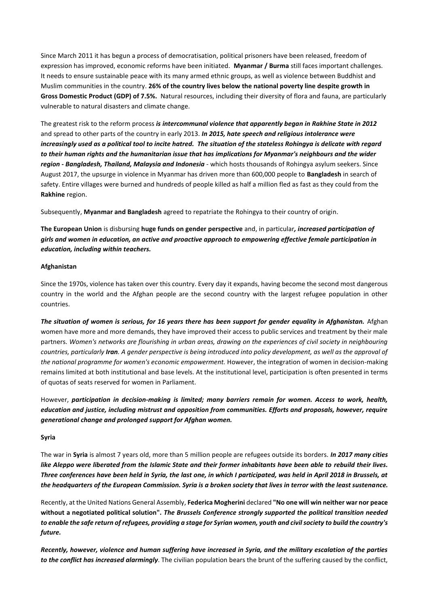Since March 2011 it has begun a process of democratisation, political prisoners have been released, freedom of expression has improved, economic reforms have been initiated. **Myanmar / Burma** still faces important challenges. It needs to ensure sustainable peace with its many armed ethnic groups, as well as violence between Buddhist and Muslim communities in the country. **26% of the country lives below the national poverty line despite growth in Gross Domestic Product (GDP) of 7.5%.** Natural resources, including their diversity of flora and fauna, are particularly vulnerable to natural disasters and climate change.

The greatest risk to the reform process *is intercommunal violence that apparently began in Rakhine State in 2012* and spread to other parts of the country in early 2013. *In 2015, hate speech and religious intolerance were increasingly used as a political tool to incite hatred. The situation of the stateless Rohingya is delicate with regard to their human rights and the humanitarian issue that has implications for Myanmar's neighbours and the wider region - Bangladesh, Thailand, Malaysia and Indonesia* - which hosts thousands of Rohingya asylum seekers. Since August 2017, the upsurge in violence in Myanmar has driven more than 600,000 people to **Bangladesh** in search of safety. Entire villages were burned and hundreds of people killed as half a million fled as fast as they could from the **Rakhine** region.

Subsequently, **Myanmar and Bangladesh** agreed to repatriate the Rohingya to their country of origin.

**The European Union** is disbursing **huge funds on gender perspective** and, in particular*, increased participation of girls and women in education, an active and proactive approach to empowering effective female participation in education, including within teachers.*

# **Afghanistan**

Since the 1970s, violence has taken over this country. Every day it expands, having become the second most dangerous country in the world and the Afghan people are the second country with the largest refugee population in other countries.

*The situation of women is serious, for 16 years there has been support for gender equality in Afghanistan.* Afghan women have more and more demands, they have improved their access to public services and treatment by their male partners. *Women's networks are flourishing in urban areas, drawing on the experiences of civil society in neighbouring countries, particularly Iran. A gender perspective is being introduced into policy development, as well as the approval of the national programme for women's economic empowerment.* However, the integration of women in decision-making remains limited at both institutional and base levels. At the institutional level, participation is often presented in terms of quotas of seats reserved for women in Parliament.

However, *participation in decision-making is limited; many barriers remain for women. Access to work, health, education and justice, including mistrust and opposition from communities. Efforts and proposals, however, require generational change and prolonged support for Afghan women.*

# **Syria**

The war in **Syria** is almost 7 years old, more than 5 million people are refugees outside its borders. *In 2017 many cities like Aleppo were liberated from the Islamic State and their former inhabitants have been able to rebuild their lives. Three conferences have been held in Syria, the last one, in which I participated, was held in April 2018 in Brussels, at the headquarters of the European Commission. Syria is a broken society that lives in terror with the least sustenance.*

Recently, at the United Nations General Assembly, **Federica Mogherini** declared **"No one will win neither war nor peace without a negotiated political solution".** *The Brussels Conference strongly supported the political transition needed to enable the safe return of refugees, providing a stage for Syrian women, youth and civil society to build the country's future.*

*Recently, however, violence and human suffering have increased in Syria, and the military escalation of the parties to the conflict has increased alarmingly*. The civilian population bears the brunt of the suffering caused by the conflict,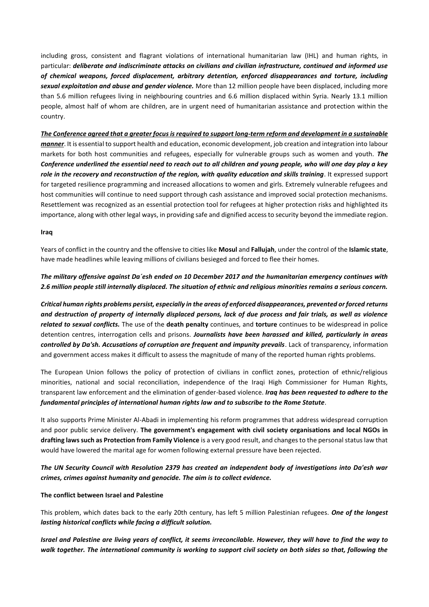including gross, consistent and flagrant violations of international humanitarian law (IHL) and human rights, in particular: *deliberate and indiscriminate attacks on civilians and civilian infrastructure, continued and informed use of chemical weapons, forced displacement, arbitrary detention, enforced disappearances and torture, including sexual exploitation and abuse and gender violence.* More than 12 million people have been displaced, including more than 5.6 million refugees living in neighbouring countries and 6.6 million displaced within Syria. Nearly 13.1 million people, almost half of whom are children, are in urgent need of humanitarian assistance and protection within the country.

*The Conference agreed that a greater focus is required to support long-term reform and development in a sustainable manner*. It is essential to support health and education, economic development, job creation and integration into labour markets for both host communities and refugees, especially for vulnerable groups such as women and youth. *The Conference underlined the essential need to reach out to all children and young people, who will one day play a key role in the recovery and reconstruction of the region, with quality education and skills training*. It expressed support for targeted resilience programming and increased allocations to women and girls. Extremely vulnerable refugees and host communities will continue to need support through cash assistance and improved social protection mechanisms. Resettlement was recognized as an essential protection tool for refugees at higher protection risks and highlighted its importance, along with other legal ways, in providing safe and dignified access to security beyond the immediate region.

## **Iraq**

Years of conflict in the country and the offensive to cities like **Mosul** and **Fallujah**, under the control of the **Islamic state**, have made headlines while leaving millions of civilians besieged and forced to flee their homes.

# *The military offensive against Da´esh ended on 10 December 2017 and the humanitarian emergency continues with 2.6 million people still internally displaced. The situation of ethnic and religious minorities remains a serious concern.*

*Critical human rights problems persist, especially in the areas of enforced disappearances, prevented or forced returns and destruction of property of internally displaced persons, lack of due process and fair trials, as well as violence related to sexual conflicts.* The use of the **death penalty** continues, and **torture** continues to be widespread in police detention centres, interrogation cells and prisons. *Journalists have been harassed and killed, particularly in areas controlled by Da'sh. Accusations of corruption are frequent and impunity prevails*. Lack of transparency, information and government access makes it difficult to assess the magnitude of many of the reported human rights problems.

The European Union follows the policy of protection of civilians in conflict zones, protection of ethnic/religious minorities, national and social reconciliation, independence of the Iraqi High Commissioner for Human Rights, transparent law enforcement and the elimination of gender-based violence. *Iraq has been requested to adhere to the fundamental principles of international human rights law and to subscribe to the Rome Statute*.

It also supports Prime Minister Al-Abadi in implementing his reform programmes that address widespread corruption and poor public service delivery. **The government's engagement with civil society organisations and local NGOs in drafting laws such as Protection from Family Violence** is a very good result, and changes to the personal status law that would have lowered the marital age for women following external pressure have been rejected.

# *The UN Security Council with Resolution 2379 has created an independent body of investigations into Da'esh war crimes, crimes against humanity and genocide. The aim is to collect evidence.*

### **The conflict between Israel and Palestine**

This problem, which dates back to the early 20th century, has left 5 million Palestinian refugees. *One of the longest lasting historical conflicts while facing a difficult solution.*

*Israel and Palestine are living years of conflict, it seems irreconcilable. However, they will have to find the way to walk together. The international community is working to support civil society on both sides so that, following the*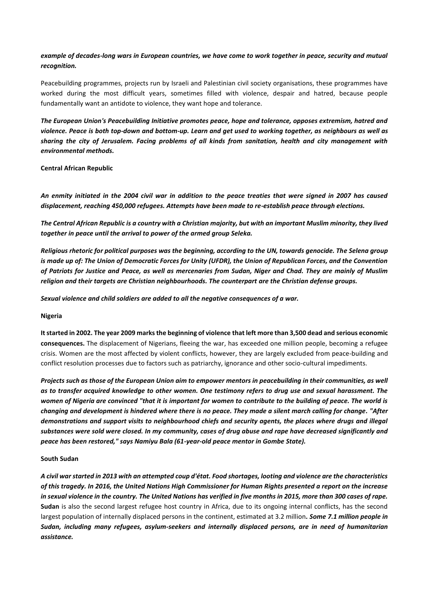# *example of decades-long wars in European countries, we have come to work together in peace, security and mutual recognition.*

Peacebuilding programmes, projects run by Israeli and Palestinian civil society organisations, these programmes have worked during the most difficult years, sometimes filled with violence, despair and hatred, because people fundamentally want an antidote to violence, they want hope and tolerance.

*The European Union's Peacebuilding Initiative promotes peace, hope and tolerance, opposes extremism, hatred and violence. Peace is both top-down and bottom-up. Learn and get used to working together, as neighbours as well as sharing the city of Jerusalem. Facing problems of all kinds from sanitation, health and city management with environmental methods.*

**Central African Republic**

*An enmity initiated in the 2004 civil war in addition to the peace treaties that were signed in 2007 has caused displacement, reaching 450,000 refugees. Attempts have been made to re-establish peace through elections.* 

*The Central African Republic is a country with a Christian majority, but with an important Muslim minority, they lived together in peace until the arrival to power of the armed group Seleka.*

*Religious rhetoric for political purposes was the beginning, according to the UN, towards genocide. The Selena group is made up of: The Union of Democratic Forces for Unity (UFDR), the Union of Republican Forces, and the Convention of Patriots for Justice and Peace, as well as mercenaries from Sudan, Niger and Chad. They are mainly of Muslim religion and their targets are Christian neighbourhoods. The counterpart are the Christian defense groups.*

*Sexual violence and child soldiers are added to all the negative consequences of a war.*

**Nigeria**

**It started in 2002. The year 2009 marks the beginning of violence that left more than 3,500 dead and serious economic consequences.** The displacement of Nigerians, fleeing the war, has exceeded one million people, becoming a refugee crisis. Women are the most affected by violent conflicts, however, they are largely excluded from peace-building and conflict resolution processes due to factors such as patriarchy, ignorance and other socio-cultural impediments.

*Projects such as those of the European Union aim to empower mentors in peacebuilding in their communities, as well as to transfer acquired knowledge to other women. One testimony refers to drug use and sexual harassment. The women of Nigeria are convinced "that it is important for women to contribute to the building of peace. The world is changing and development is hindered where there is no peace. They made a silent march calling for change. "After demonstrations and support visits to neighbourhood chiefs and security agents, the places where drugs and illegal substances were sold were closed. In my community, cases of drug abuse and rape have decreased significantly and peace has been restored," says Namiyu Bala (61-year-old peace mentor in Gombe State).*

### **South Sudan**

*A civil war started in 2013 with an attempted coup d'état. Food shortages, looting and violence are the characteristics of this tragedy. In 2016, the United Nations High Commissioner for Human Rights presented a report on the increase in sexual violence in the country. The United Nations has verified in five months in 2015, more than 300 cases of rape.*  **Sudan** is also the second largest refugee host country in Africa, due to its ongoing internal conflicts, has the second largest population of internally displaced persons in the continent, estimated at 3.2 million*. Some 7.1 million people in Sudan, including many refugees, asylum-seekers and internally displaced persons, are in need of humanitarian assistance.*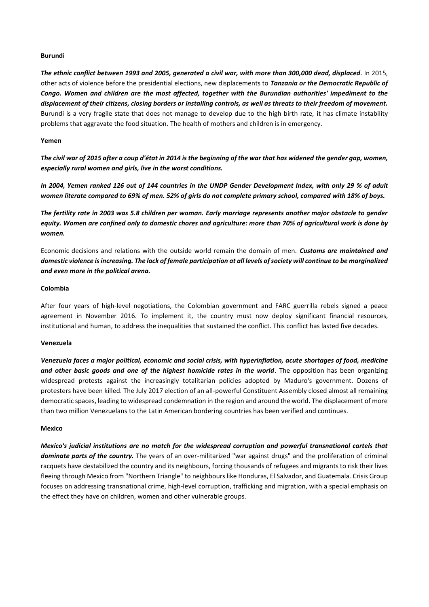### **Burundi**

*The ethnic conflict between 1993 and 2005, generated a civil war, with more than 300,000 dead, displaced*. In 2015, other acts of violence before the presidential elections, new displacements to *Tanzania or the Democratic Republic of Congo. Women and children are the most affected, together with the Burundian authorities' impediment to the displacement of their citizens, closing borders or installing controls, as well as threats to their freedom of movement.*  Burundi is a very fragile state that does not manage to develop due to the high birth rate, it has climate instability problems that aggravate the food situation. The health of mothers and children is in emergency.

#### **Yemen**

*The civil war of 2015 after a coup d'état in 2014 is the beginning of the war that has widened the gender gap, women, especially rural women and girls, live in the worst conditions.*

*In 2004, Yemen ranked 126 out of 144 countries in the UNDP Gender Development Index, with only 29 % of adult women literate compared to 69% of men. 52% of girls do not complete primary school, compared with 18% of boys.*

*The fertility rate in 2003 was 5.8 children per woman. Early marriage represents another major obstacle to gender equity. Women are confined only to domestic chores and agriculture: more than 70% of agricultural work is done by women.*

Economic decisions and relations with the outside world remain the domain of men. *Customs are maintained and domestic violence is increasing. The lack of female participation at all levels of society will continue to be marginalized and even more in the political arena.*

#### **Colombia**

After four years of high-level negotiations, the Colombian government and FARC guerrilla rebels signed a peace agreement in November 2016. To implement it, the country must now deploy significant financial resources, institutional and human, to address the inequalities that sustained the conflict. This conflict has lasted five decades.

#### **Venezuela**

*Venezuela faces a major political, economic and social crisis, with hyperinflation, acute shortages of food, medicine*  and other basic goods and one of the highest homicide rates in the world. The opposition has been organizing widespread protests against the increasingly totalitarian policies adopted by Maduro's government. Dozens of protesters have been killed. The July 2017 election of an all-powerful Constituent Assembly closed almost all remaining democratic spaces, leading to widespread condemnation in the region and around the world. The displacement of more than two million Venezuelans to the Latin American bordering countries has been verified and continues.

### **Mexico**

*Mexico's judicial institutions are no match for the widespread corruption and powerful transnational cartels that dominate parts of the country.* The years of an over-militarized "war against drugs" and the proliferation of criminal racquets have destabilized the country and its neighbours, forcing thousands of refugees and migrants to risk their lives fleeing through Mexico from "Northern Triangle" to neighbours like Honduras, El Salvador, and Guatemala. Crisis Group focuses on addressing transnational crime, high-level corruption, trafficking and migration, with a special emphasis on the effect they have on children, women and other vulnerable groups.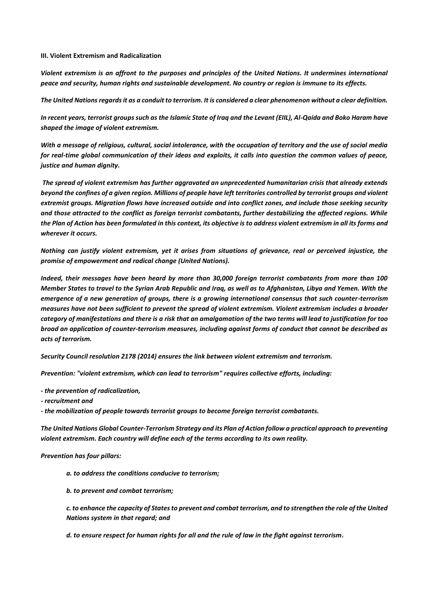### **III. Violent Extremism and Radicalization**

*Violent extremism is an affront to the purposes and principles of the United Nations. It undermines international peace and security, human rights and sustainable development. No country or region is immune to its effects.* 

*The United Nations regards it as a conduit to terrorism. It is considered a clear phenomenon without a clear definition.* 

*In recent years, terrorist groups such as the Islamic State of Iraq and the Levant (EIIL), Al-Qaida and Boko Haram have shaped the image of violent extremism.*

*With a message of religious, cultural, social intolerance, with the occupation of territory and the use of social media for real-time global communication of their ideas and exploits, it calls into question the common values of peace, justice and human dignity.*

*The spread of violent extremism has further aggravated an unprecedented humanitarian crisis that already extends beyond the confines of a given region. Millions of people have left territories controlled by terrorist groups and violent extremist groups. Migration flows have increased outside and into conflict zones, and include those seeking security and those attracted to the conflict as foreign terrorist combatants, further destabilizing the affected regions. While the Plan of Action has been formulated in this context, its objective is to address violent extremism in all its forms and wherever it occurs.* 

*Nothing can justify violent extremism, yet it arises from situations of grievance, real or perceived injustice, the promise of empowerment and radical change (United Nations).*

*Indeed, their messages have been heard by more than 30,000 foreign terrorist combatants from more than 100 Member States to travel to the Syrian Arab Republic and Iraq, as well as to Afghanistan, Libya and Yemen. With the emergence of a new generation of groups, there is a growing international consensus that such counter-terrorism measures have not been sufficient to prevent the spread of violent extremism. Violent extremism includes a broader category of manifestations and there is a risk that an amalgamation of the two terms will lead to justification for too broad an application of counter-terrorism measures, including against forms of conduct that cannot be described as acts of terrorism.*

*Security Council resolution 2178 (2014) ensures the link between violent extremism and terrorism.*

*Prevention: "violent extremism, which can lead to terrorism" requires collective efforts, including:*

- *- the prevention of radicalization,*
- *- recruitment and*

*- the mobilization of people towards terrorist groups to become foreign terrorist combatants.* 

*The United Nations Global Counter-Terrorism Strategy and its Plan of Action follow a practical approach to preventing violent extremism. Each country will define each of the terms according to its own reality.* 

### *Prevention has four pillars:*

- *a. to address the conditions conducive to terrorism;*
- *b. to prevent and combat terrorism;*

*c. to enhance the capacity of States to prevent and combat terrorism, and to strengthen the role of the United Nations system in that regard; and* 

*d. to ensure respect for human rights for all and the rule of law in the fight against terrorism.*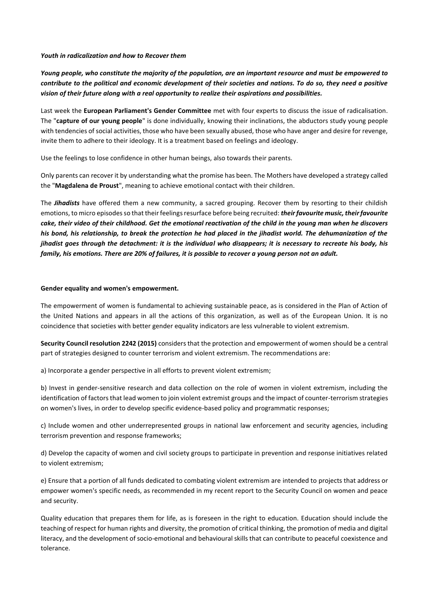#### *Youth in radicalization and how to Recover them*

*Young people, who constitute the majority of the population, are an important resource and must be empowered to contribute to the political and economic development of their societies and nations. To do so, they need a positive vision of their future along with a real opportunity to realize their aspirations and possibilities.*

Last week the **European Parliament's Gender Committee** met with four experts to discuss the issue of radicalisation. The "**capture of our young people**" is done individually, knowing their inclinations, the abductors study young people with tendencies of social activities, those who have been sexually abused, those who have anger and desire for revenge, invite them to adhere to their ideology. It is a treatment based on feelings and ideology.

Use the feelings to lose confidence in other human beings, also towards their parents.

Only parents can recover it by understanding what the promise has been. The Mothers have developed a strategy called the "**Magdalena de Proust**", meaning to achieve emotional contact with their children.

The *Jihadists* have offered them a new community, a sacred grouping. Recover them by resorting to their childish emotions, to micro episodes so that their feelings resurface before being recruited: *their favourite music, their favourite cake, their video of their childhood. Get the emotional reactivation of the child in the young man when he discovers his bond, his relationship, to break the protection he had placed in the jihadist world. The dehumanization of the jihadist goes through the detachment: it is the individual who disappears; it is necessary to recreate his body, his family, his emotions. There are 20% of failures, it is possible to recover a young person not an adult.*

## **Gender equality and women's empowerment.**

The empowerment of women is fundamental to achieving sustainable peace, as is considered in the Plan of Action of the United Nations and appears in all the actions of this organization, as well as of the European Union. It is no coincidence that societies with better gender equality indicators are less vulnerable to violent extremism.

**Security Council resolution 2242 (2015)** considers that the protection and empowerment of women should be a central part of strategies designed to counter terrorism and violent extremism. The recommendations are:

a) Incorporate a gender perspective in all efforts to prevent violent extremism;

b) Invest in gender-sensitive research and data collection on the role of women in violent extremism, including the identification of factors that lead women to join violent extremist groups and the impact of counter-terrorism strategies on women's lives, in order to develop specific evidence-based policy and programmatic responses;

c) Include women and other underrepresented groups in national law enforcement and security agencies, including terrorism prevention and response frameworks;

d) Develop the capacity of women and civil society groups to participate in prevention and response initiatives related to violent extremism;

e) Ensure that a portion of all funds dedicated to combating violent extremism are intended to projects that address or empower women's specific needs, as recommended in my recent report to the Security Council on women and peace and security.

Quality education that prepares them for life, as is foreseen in the right to education. Education should include the teaching of respect for human rights and diversity, the promotion of critical thinking, the promotion of media and digital literacy, and the development of socio-emotional and behavioural skills that can contribute to peaceful coexistence and tolerance.